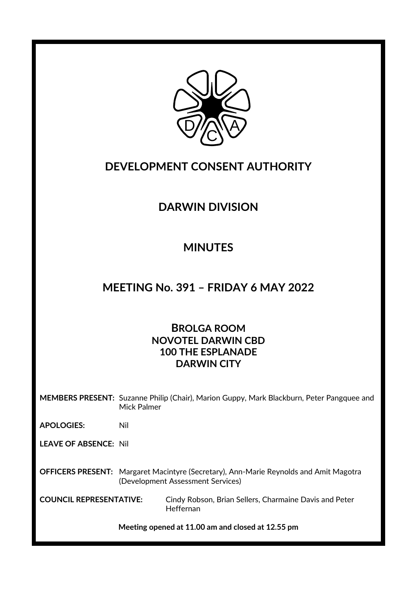

### **DEVELOPMENT CONSENT AUTHORITY**

# **DARWIN DIVISION**

# **MINUTES**

### **MEETING No. 391 – FRIDAY 6 MAY 2022**

### **BROLGA ROOM NOVOTEL DARWIN CBD 100 THE ESPLANADE DARWIN CITY**

**MEMBERS PRESENT:** Suzanne Philip (Chair), Marion Guppy, Mark Blackburn, Peter Pangquee and Mick Palmer

**APOLOGIES:** Nil

**LEAVE OF ABSENCE:** Nil

**OFFICERS PRESENT:** Margaret Macintyre (Secretary), Ann-Marie Reynolds and Amit Magotra (Development Assessment Services)

**COUNCIL REPRESENTATIVE:** Cindy Robson, Brian Sellers, Charmaine Davis and Peter Heffernan

**Meeting opened at 11.00 am and closed at 12.55 pm**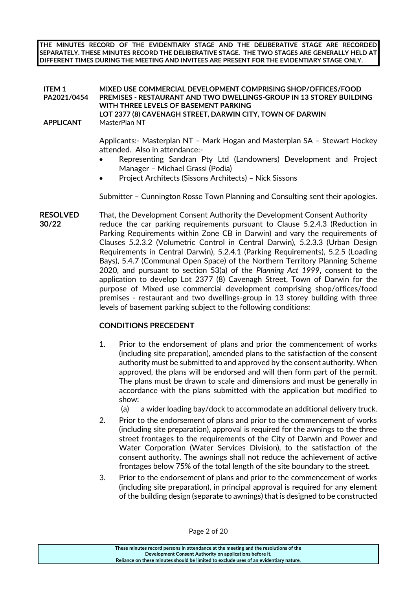**THE MINUTES RECORD OF THE EVIDENTIARY STAGE AND THE DELIBERATIVE STAGE ARE RECORDED SEPARATELY. THESE MINUTES RECORD THE DELIBERATIVE STAGE. THE TWO STAGES ARE GENERALLY HELD AT DIFFERENT TIMES DURING THE MEETING AND INVITEES ARE PRESENT FOR THE EVIDENTIARY STAGE ONLY.**

#### **ITEM 1 PA2021/0454 MIXED USE COMMERCIAL DEVELOPMENT COMPRISING SHOP/OFFICES/FOOD PREMISES - RESTAURANT AND TWO DWELLINGS-GROUP IN 13 STOREY BUILDING WITH THREE LEVELS OF BASEMENT PARKING LOT 2377 (8) CAVENAGH STREET, DARWIN CITY, TOWN OF DARWIN APPLICANT** MasterPlan NT

Applicants:- Masterplan NT – Mark Hogan and Masterplan SA – Stewart Hockey attended. Also in attendance:-

- Representing Sandran Pty Ltd (Landowners) Development and Project Manager – Michael Grassi (Podia)
- Project Architects (Sissons Architects) Nick Sissons

Submitter – Cunnington Rosse Town Planning and Consulting sent their apologies.

**RESOLVED** That, the Development Consent Authority the Development Consent Authority **30/22** reduce the car parking requirements pursuant to Clause 5.2.4.3 (Reduction in Parking Requirements within Zone CB in Darwin) and vary the requirements of Clauses 5.2.3.2 (Volumetric Control in Central Darwin), 5.2.3.3 (Urban Design Requirements in Central Darwin), 5.2.4.1 (Parking Requirements), 5.2.5 (Loading Bays), 5.4.7 (Communal Open Space) of the Northern Territory Planning Scheme 2020, and pursuant to section 53(a) of the *Planning Act 1999*, consent to the application to develop Lot 2377 (8) Cavenagh Street, Town of Darwin for the purpose of Mixed use commercial development comprising shop/offices/food premises - restaurant and two dwellings-group in 13 storey building with three levels of basement parking subject to the following conditions:

#### **CONDITIONS PRECEDENT**

- 1. Prior to the endorsement of plans and prior the commencement of works (including site preparation), amended plans to the satisfaction of the consent authority must be submitted to and approved by the consent authority. When approved, the plans will be endorsed and will then form part of the permit. The plans must be drawn to scale and dimensions and must be generally in accordance with the plans submitted with the application but modified to show:
	- (a) a wider loading bay/dock to accommodate an additional delivery truck.
- 2. Prior to the endorsement of plans and prior to the commencement of works (including site preparation), approval is required for the awnings to the three street frontages to the requirements of the City of Darwin and Power and Water Corporation (Water Services Division), to the satisfaction of the consent authority. The awnings shall not reduce the achievement of active frontages below 75% of the total length of the site boundary to the street.
- 3. Prior to the endorsement of plans and prior to the commencement of works (including site preparation), in principal approval is required for any element of the building design (separate to awnings) that is designed to be constructed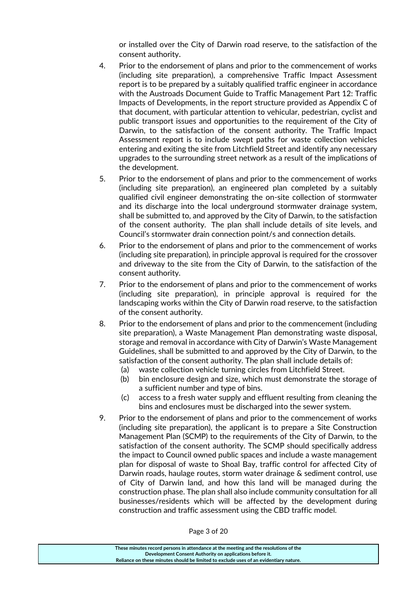or installed over the City of Darwin road reserve, to the satisfaction of the consent authority.

- 4. Prior to the endorsement of plans and prior to the commencement of works (including site preparation), a comprehensive Traffic Impact Assessment report is to be prepared by a suitably qualified traffic engineer in accordance with the Austroads Document Guide to Traffic Management Part 12: Traffic Impacts of Developments, in the report structure provided as Appendix C of that document, with particular attention to vehicular, pedestrian, cyclist and public transport issues and opportunities to the requirement of the City of Darwin, to the satisfaction of the consent authority. The Traffic Impact Assessment report is to include swept paths for waste collection vehicles entering and exiting the site from Litchfield Street and identify any necessary upgrades to the surrounding street network as a result of the implications of the development.
- 5. Prior to the endorsement of plans and prior to the commencement of works (including site preparation), an engineered plan completed by a suitably qualified civil engineer demonstrating the on-site collection of stormwater and its discharge into the local underground stormwater drainage system, shall be submitted to, and approved by the City of Darwin, to the satisfaction of the consent authority. The plan shall include details of site levels, and Council's stormwater drain connection point/s and connection details.
- 6. Prior to the endorsement of plans and prior to the commencement of works (including site preparation), in principle approval is required for the crossover and driveway to the site from the City of Darwin, to the satisfaction of the consent authority.
- 7. Prior to the endorsement of plans and prior to the commencement of works (including site preparation), in principle approval is required for the landscaping works within the City of Darwin road reserve, to the satisfaction of the consent authority.
- 8. Prior to the endorsement of plans and prior to the commencement (including site preparation), a Waste Management Plan demonstrating waste disposal, storage and removal in accordance with City of Darwin's Waste Management Guidelines, shall be submitted to and approved by the City of Darwin, to the satisfaction of the consent authority. The plan shall include details of:
	- (a) waste collection vehicle turning circles from Litchfield Street.
	- (b) bin enclosure design and size, which must demonstrate the storage of a sufficient number and type of bins.
	- (c) access to a fresh water supply and effluent resulting from cleaning the bins and enclosures must be discharged into the sewer system.
- 9. Prior to the endorsement of plans and prior to the commencement of works (including site preparation), the applicant is to prepare a Site Construction Management Plan (SCMP) to the requirements of the City of Darwin, to the satisfaction of the consent authority. The SCMP should specifically address the impact to Council owned public spaces and include a waste management plan for disposal of waste to Shoal Bay, traffic control for affected City of Darwin roads, haulage routes, storm water drainage & sediment control, use of City of Darwin land, and how this land will be managed during the construction phase. The plan shall also include community consultation for all businesses/residents which will be affected by the development during construction and traffic assessment using the CBD traffic model.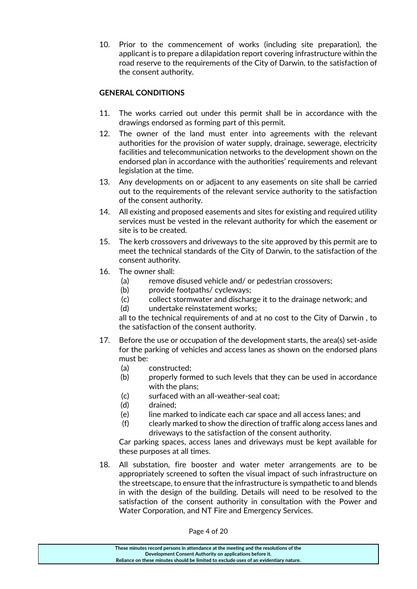10. Prior to the commencement of works (including site preparation), the applicant is to prepare a dilapidation report covering infrastructure within the road reserve to the requirements of the City of Darwin, to the satisfaction of the consent authority.

### **GENERAL CONDITIONS**

- 11. The works carried out under this permit shall be in accordance with the drawings endorsed as forming part of this permit.
- 12. The owner of the land must enter into agreements with the relevant authorities for the provision of water supply, drainage, sewerage, electricity facilities and telecommunication networks to the development shown on the endorsed plan in accordance with the authorities' requirements and relevant legislation at the time.
- 13. Any developments on or adjacent to any easements on site shall be carried out to the requirements of the relevant service authority to the satisfaction of the consent authority.
- 14. All existing and proposed easements and sites for existing and required utility services must be vested in the relevant authority for which the easement or site is to be created.
- 15. The kerb crossovers and driveways to the site approved by this permit are to meet the technical standards of the City of Darwin, to the satisfaction of the consent authority.
- 16. The owner shall:
	- (a) remove disused vehicle and/ or pedestrian crossovers;
	- (b) provide footpaths/ cycleways;
	- (c) collect stormwater and discharge it to the drainage network; and
	- (d) undertake reinstatement works;

all to the technical requirements of and at no cost to the City of Darwin , to the satisfaction of the consent authority.

- 17. Before the use or occupation of the development starts, the area(s) set-aside for the parking of vehicles and access lanes as shown on the endorsed plans must be:
	- (a) constructed;
	- (b) properly formed to such levels that they can be used in accordance with the plans;
	- (c) surfaced with an all-weather-seal coat;
	- (d) drained;
	- (e) line marked to indicate each car space and all access lanes; and
	- (f) clearly marked to show the direction of traffic along access lanes and driveways to the satisfaction of the consent authority.

Car parking spaces, access lanes and driveways must be kept available for these purposes at all times.

18. All substation, fire booster and water meter arrangements are to be appropriately screened to soften the visual impact of such infrastructure on the streetscape, to ensure that the infrastructure is sympathetic to and blends in with the design of the building. Details will need to be resolved to the satisfaction of the consent authority in consultation with the Power and Water Corporation, and NT Fire and Emergency Services.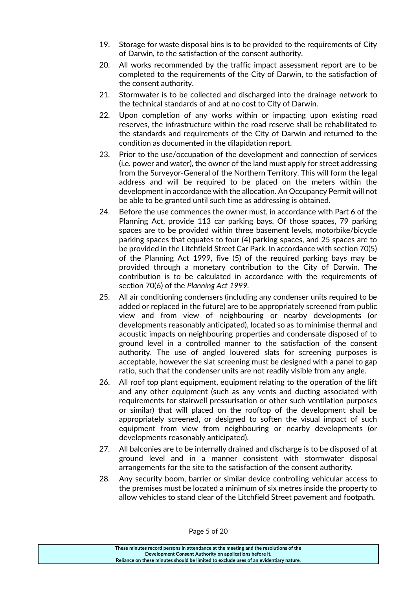- 19. Storage for waste disposal bins is to be provided to the requirements of City of Darwin, to the satisfaction of the consent authority.
- 20. All works recommended by the traffic impact assessment report are to be completed to the requirements of the City of Darwin, to the satisfaction of the consent authority.
- 21. Stormwater is to be collected and discharged into the drainage network to the technical standards of and at no cost to City of Darwin.
- 22. Upon completion of any works within or impacting upon existing road reserves, the infrastructure within the road reserve shall be rehabilitated to the standards and requirements of the City of Darwin and returned to the condition as documented in the dilapidation report.
- 23. Prior to the use/occupation of the development and connection of services (i.e. power and water), the owner of the land must apply for street addressing from the Surveyor-General of the Northern Territory. This will form the legal address and will be required to be placed on the meters within the development in accordance with the allocation. An Occupancy Permit will not be able to be granted until such time as addressing is obtained.
- 24. Before the use commences the owner must, in accordance with Part 6 of the Planning Act, provide 113 car parking bays. Of those spaces, 79 parking spaces are to be provided within three basement levels, motorbike/bicycle parking spaces that equates to four (4) parking spaces, and 25 spaces are to be provided in the Litchfield Street Car Park. In accordance with section 70(5) of the Planning Act 1999, five (5) of the required parking bays may be provided through a monetary contribution to the City of Darwin. The contribution is to be calculated in accordance with the requirements of section 70(6) of the *Planning Act 1999.*
- 25. All air conditioning condensers (including any condenser units required to be added or replaced in the future) are to be appropriately screened from public view and from view of neighbouring or nearby developments (or developments reasonably anticipated), located so as to minimise thermal and acoustic impacts on neighbouring properties and condensate disposed of to ground level in a controlled manner to the satisfaction of the consent authority. The use of angled louvered slats for screening purposes is acceptable, however the slat screening must be designed with a panel to gap ratio, such that the condenser units are not readily visible from any angle.
- 26. All roof top plant equipment, equipment relating to the operation of the lift and any other equipment (such as any vents and ducting associated with requirements for stairwell pressurisation or other such ventilation purposes or similar) that will placed on the rooftop of the development shall be appropriately screened, or designed to soften the visual impact of such equipment from view from neighbouring or nearby developments (or developments reasonably anticipated).
- 27. All balconies are to be internally drained and discharge is to be disposed of at ground level and in a manner consistent with stormwater disposal arrangements for the site to the satisfaction of the consent authority.
- 28. Any security boom, barrier or similar device controlling vehicular access to the premises must be located a minimum of six metres inside the property to allow vehicles to stand clear of the Litchfield Street pavement and footpath.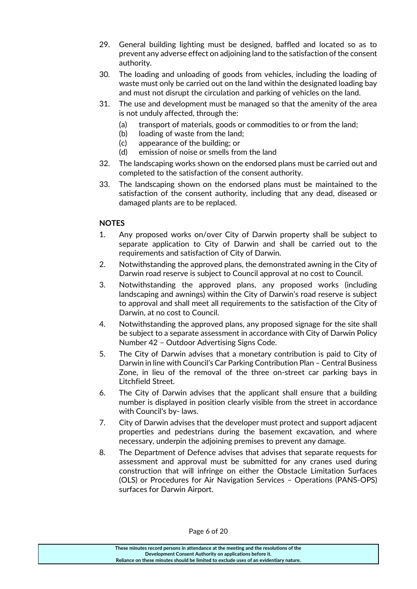- 29. General building lighting must be designed, baffled and located so as to prevent any adverse effect on adjoining land to the satisfaction of the consent authority.
- 30. The loading and unloading of goods from vehicles, including the loading of waste must only be carried out on the land within the designated loading bay and must not disrupt the circulation and parking of vehicles on the land.
- 31. The use and development must be managed so that the amenity of the area is not unduly affected, through the:
	- (a) transport of materials, goods or commodities to or from the land;
	- (b) loading of waste from the land;
	- (c) appearance of the building; or
	- (d) emission of noise or smells from the land
- 32. The landscaping works shown on the endorsed plans must be carried out and completed to the satisfaction of the consent authority.
- 33. The landscaping shown on the endorsed plans must be maintained to the satisfaction of the consent authority, including that any dead, diseased or damaged plants are to be replaced.

#### **NOTES**

- 1. Any proposed works on/over City of Darwin property shall be subject to separate application to City of Darwin and shall be carried out to the requirements and satisfaction of City of Darwin.
- 2. Notwithstanding the approved plans, the demonstrated awning in the City of Darwin road reserve is subject to Council approval at no cost to Council.
- 3. Notwithstanding the approved plans, any proposed works (including landscaping and awnings) within the City of Darwin's road reserve is subject to approval and shall meet all requirements to the satisfaction of the City of Darwin, at no cost to Council.
- 4. Notwithstanding the approved plans, any proposed signage for the site shall be subject to a separate assessment in accordance with City of Darwin Policy Number 42 – Outdoor Advertising Signs Code.
- 5. The City of Darwin advises that a monetary contribution is paid to City of Darwin in line with Council's Car Parking Contribution Plan – Central Business Zone, in lieu of the removal of the three on-street car parking bays in Litchfield Street.
- 6. The City of Darwin advises that the applicant shall ensure that a building number is displayed in position clearly visible from the street in accordance with Council's by- laws.
- 7. City of Darwin advises that the developer must protect and support adjacent properties and pedestrians during the basement excavation, and where necessary, underpin the adjoining premises to prevent any damage.
- 8. The Department of Defence advises that advises that separate requests for assessment and approval must be submitted for any cranes used during construction that will infringe on either the Obstacle Limitation Surfaces (OLS) or Procedures for Air Navigation Services – Operations (PANS-OPS) surfaces for Darwin Airport.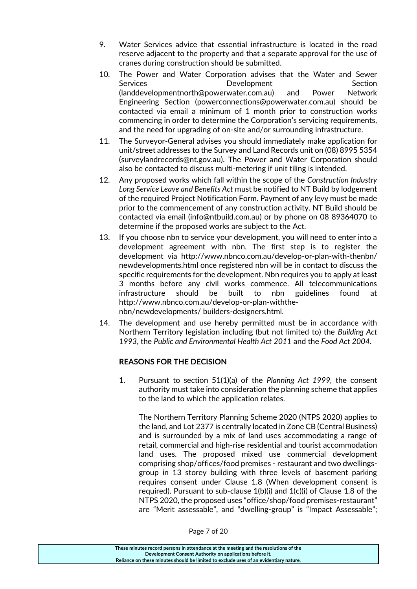- 9. Water Services advice that essential infrastructure is located in the road reserve adjacent to the property and that a separate approval for the use of cranes during construction should be submitted.
- 10. The Power and Water Corporation advises that the Water and Sewer Services **Section** Development Section (landdevelopmentnorth@powerwater.com.au) and Power Network Engineering Section (powerconnections@powerwater.com.au) should be contacted via email a minimum of 1 month prior to construction works commencing in order to determine the Corporation's servicing requirements, and the need for upgrading of on-site and/or surrounding infrastructure.
- 11. The Surveyor-General advises you should immediately make application for unit/street addresses to the Survey and Land Records unit on (08) 8995 5354 (surveylandrecords@nt.gov.au). The Power and Water Corporation should also be contacted to discuss multi-metering if unit tiling is intended.
- 12. Any proposed works which fall within the scope of the *Construction Industry Long Service Leave and Benefits Act* must be notified to NT Build by lodgement of the required Project Notification Form. Payment of any levy must be made prior to the commencement of any construction activity. NT Build should be contacted via email (info@ntbuild.com.au) or by phone on 08 89364070 to determine if the proposed works are subject to the Act.
- 13. If you choose nbn to service your development, you will need to enter into a development agreement with nbn. The first step is to register the development via http://www.nbnco.com.au/develop-or-plan-with-thenbn/ newdevelopments.html once registered nbn will be in contact to discuss the specific requirements for the development. Nbn requires you to apply at least 3 months before any civil works commence. All telecommunications infrastructure should be built to nbn guidelines found at http://www.nbnco.com.au/develop-or-plan-withthenbn/newdevelopments/ builders-designers.html.
- 14. The development and use hereby permitted must be in accordance with Northern Territory legislation including (but not limited to) the *Building Act 1993*, the *Public and Environmental Health Act 2011* and the *Food Act 2004*.

#### **REASONS FOR THE DECISION**

1. Pursuant to section 51(1)(a) of the *Planning Act 1999,* the consent authority must take into consideration the planning scheme that applies to the land to which the application relates.

The Northern Territory Planning Scheme 2020 (NTPS 2020) applies to the land, and Lot 2377 is centrally located in Zone CB (Central Business) and is surrounded by a mix of land uses accommodating a range of retail, commercial and high-rise residential and tourist accommodation land uses. The proposed mixed use commercial development comprising shop/offices/food premises - restaurant and two dwellingsgroup in 13 storey building with three levels of basement parking requires consent under Clause 1.8 (When development consent is required). Pursuant to sub-clause 1(b)(i) and 1(c)(i) of Clause 1.8 of the NTPS 2020, the proposed uses "office/shop/food premises-restaurant" are "Merit assessable", and "dwelling-group" is "Impact Assessable";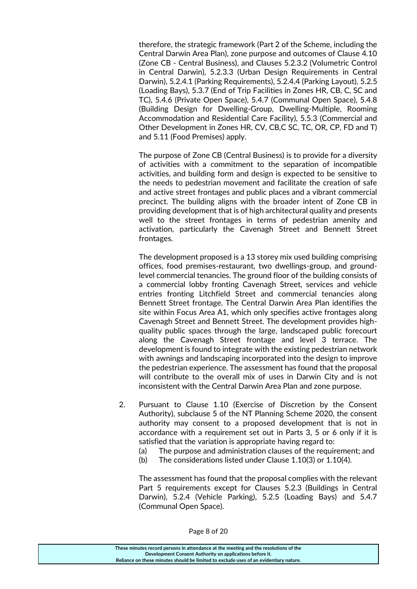therefore, the strategic framework (Part 2 of the Scheme, including the Central Darwin Area Plan), zone purpose and outcomes of Clause 4.10 (Zone CB - Central Business), and Clauses 5.2.3.2 (Volumetric Control in Central Darwin), 5.2.3.3 (Urban Design Requirements in Central Darwin), 5.2.4.1 (Parking Requirements), 5.2.4.4 (Parking Layout), 5.2.5 (Loading Bays), 5.3.7 (End of Trip Facilities in Zones HR, CB, C, SC and TC), 5.4.6 (Private Open Space), 5.4.7 (Communal Open Space), 5.4.8 (Building Design for Dwelling-Group, Dwelling-Multiple, Rooming Accommodation and Residential Care Facility), 5.5.3 (Commercial and Other Development in Zones HR, CV, CB,C SC, TC, OR, CP, FD and T) and 5.11 (Food Premises) apply.

The purpose of Zone CB (Central Business) is to provide for a diversity of activities with a commitment to the separation of incompatible activities, and building form and design is expected to be sensitive to the needs to pedestrian movement and facilitate the creation of safe and active street frontages and public places and a vibrant commercial precinct. The building aligns with the broader intent of Zone CB in providing development that is of high architectural quality and presents well to the street frontages in terms of pedestrian amenity and activation, particularly the Cavenagh Street and Bennett Street frontages.

The development proposed is a 13 storey mix used building comprising offices, food premises-restaurant, two dwellings-group, and groundlevel commercial tenancies. The ground floor of the building consists of a commercial lobby fronting Cavenagh Street, services and vehicle entries fronting Litchfield Street and commercial tenancies along Bennett Street frontage. The Central Darwin Area Plan identifies the site within Focus Area A1, which only specifies active frontages along Cavenagh Street and Bennett Street. The development provides highquality public spaces through the large, landscaped public forecourt along the Cavenagh Street frontage and level 3 terrace. The development is found to integrate with the existing pedestrian network with awnings and landscaping incorporated into the design to improve the pedestrian experience. The assessment has found that the proposal will contribute to the overall mix of uses in Darwin City and is not inconsistent with the Central Darwin Area Plan and zone purpose.

- 2. Pursuant to Clause 1.10 (Exercise of Discretion by the Consent Authority), subclause 5 of the NT Planning Scheme 2020, the consent authority may consent to a proposed development that is not in accordance with a requirement set out in Parts 3, 5 or 6 only if it is satisfied that the variation is appropriate having regard to:
	- (a) The purpose and administration clauses of the requirement; and
	- (b) The considerations listed under Clause 1.10(3) or 1.10(4).

The assessment has found that the proposal complies with the relevant Part 5 requirements except for Clauses 5.2.3 (Buildings in Central Darwin), 5.2.4 (Vehicle Parking), 5.2.5 (Loading Bays) and 5.4.7 (Communal Open Space).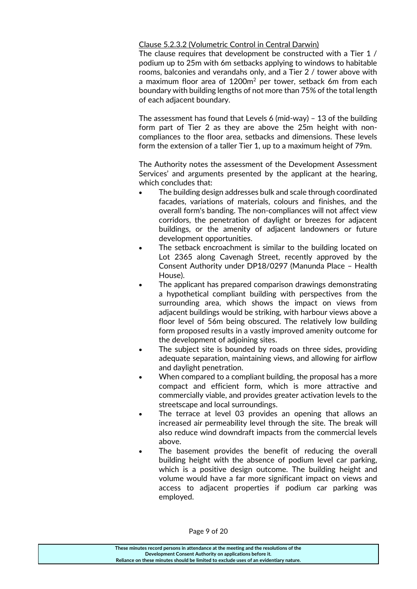#### Clause 5.2.3.2 (Volumetric Control in Central Darwin)

The clause requires that development be constructed with a Tier 1 / podium up to 25m with 6m setbacks applying to windows to habitable rooms, balconies and verandahs only, and a Tier 2 / tower above with a maximum floor area of  $1200m^2$  per tower, setback 6m from each boundary with building lengths of not more than 75% of the total length of each adjacent boundary.

The assessment has found that Levels 6 (mid-way) – 13 of the building form part of Tier 2 as they are above the 25m height with noncompliances to the floor area, setbacks and dimensions. These levels form the extension of a taller Tier 1, up to a maximum height of 79m.

The Authority notes the assessment of the Development Assessment Services' and arguments presented by the applicant at the hearing, which concludes that:

- The building design addresses bulk and scale through coordinated facades, variations of materials, colours and finishes, and the overall form's banding. The non-compliances will not affect view corridors, the penetration of daylight or breezes for adjacent buildings, or the amenity of adjacent landowners or future development opportunities.
- The setback encroachment is similar to the building located on Lot 2365 along Cavenagh Street, recently approved by the Consent Authority under DP18/0297 (Manunda Place – Health House).
- The applicant has prepared comparison drawings demonstrating a hypothetical compliant building with perspectives from the surrounding area, which shows the impact on views from adjacent buildings would be striking, with harbour views above a floor level of 56m being obscured. The relatively low building form proposed results in a vastly improved amenity outcome for the development of adjoining sites.
- The subject site is bounded by roads on three sides, providing adequate separation, maintaining views, and allowing for airflow and daylight penetration.
- When compared to a compliant building, the proposal has a more compact and efficient form, which is more attractive and commercially viable, and provides greater activation levels to the streetscape and local surroundings.
- The terrace at level 03 provides an opening that allows an increased air permeability level through the site. The break will also reduce wind downdraft impacts from the commercial levels above.
- The basement provides the benefit of reducing the overall building height with the absence of podium level car parking, which is a positive design outcome. The building height and volume would have a far more significant impact on views and access to adjacent properties if podium car parking was employed.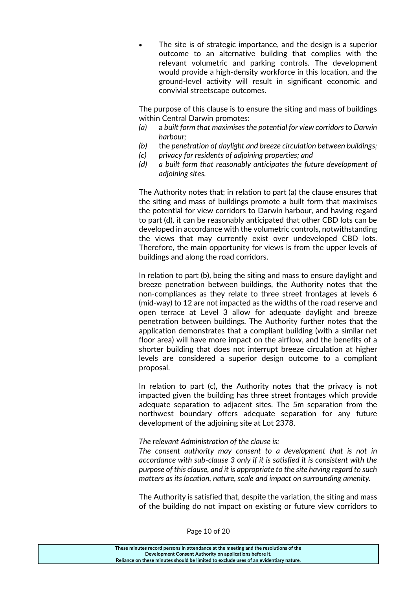The site is of strategic importance, and the design is a superior outcome to an alternative building that complies with the relevant volumetric and parking controls. The development would provide a high-density workforce in this location, and the ground-level activity will result in significant economic and convivial streetscape outcomes.

The purpose of this clause is to ensure the siting and mass of buildings within Central Darwin promotes:

- *(a)* a *built form that maximises the potential for view corridors to Darwin harbour;*
- *(b)* the *penetration of daylight and breeze circulation between buildings;*
- *(c) privacy for residents of adjoining properties; and*
- *(d) a built form that reasonably anticipates the future development of adjoining sites.*

The Authority notes that; in relation to part (a) the clause ensures that the siting and mass of buildings promote a built form that maximises the potential for view corridors to Darwin harbour, and having regard to part (d), it can be reasonably anticipated that other CBD lots can be developed in accordance with the volumetric controls, notwithstanding the views that may currently exist over undeveloped CBD lots. Therefore, the main opportunity for views is from the upper levels of buildings and along the road corridors.

In relation to part (b), being the siting and mass to ensure daylight and breeze penetration between buildings, the Authority notes that the non-compliances as they relate to three street frontages at levels 6 (mid-way) to 12 are not impacted as the widths of the road reserve and open terrace at Level 3 allow for adequate daylight and breeze penetration between buildings. The Authority further notes that the application demonstrates that a compliant building (with a similar net floor area) will have more impact on the airflow, and the benefits of a shorter building that does not interrupt breeze circulation at higher levels are considered a superior design outcome to a compliant proposal.

In relation to part (c), the Authority notes that the privacy is not impacted given the building has three street frontages which provide adequate separation to adjacent sites. The 5m separation from the northwest boundary offers adequate separation for any future development of the adjoining site at Lot 2378.

#### *The relevant Administration of the clause is:*

*The consent authority may consent to a development that is not in accordance with sub-clause 3 only if it is satisfied it is consistent with the purpose of this clause, and it is appropriate to the site having regard to such matters as its location, nature, scale and impact on surrounding amenity.*

The Authority is satisfied that, despite the variation, the siting and mass of the building do not impact on existing or future view corridors to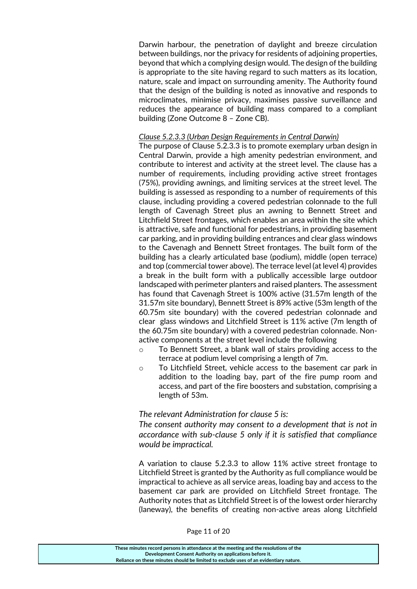Darwin harbour, the penetration of daylight and breeze circulation between buildings, nor the privacy for residents of adjoining properties, beyond that which a complying design would. The design of the building is appropriate to the site having regard to such matters as its location, nature, scale and impact on surrounding amenity. The Authority found that the design of the building is noted as innovative and responds to microclimates, minimise privacy, maximises passive surveillance and reduces the appearance of building mass compared to a compliant building (Zone Outcome 8 – Zone CB).

#### *Clause 5.2.3.3 (Urban Design Requirements in Central Darwin)*

The purpose of Clause 5.2.3.3 is to promote exemplary urban design in Central Darwin, provide a high amenity pedestrian environment, and contribute to interest and activity at the street level. The clause has a number of requirements, including providing active street frontages (75%), providing awnings, and limiting services at the street level. The building is assessed as responding to a number of requirements of this clause, including providing a covered pedestrian colonnade to the full length of Cavenagh Street plus an awning to Bennett Street and Litchfield Street frontages, which enables an area within the site which is attractive, safe and functional for pedestrians, in providing basement car parking, and in providing building entrances and clear glass windows to the Cavenagh and Bennett Street frontages. The built form of the building has a clearly articulated base (podium), middle (open terrace) and top (commercial tower above). The terrace level (at level 4) provides a break in the built form with a publically accessible large outdoor landscaped with perimeter planters and raised planters. The assessment has found that Cavenagh Street is 100% active (31.57m length of the 31.57m site boundary), Bennett Street is 89% active (53m length of the 60.75m site boundary) with the covered pedestrian colonnade and clear glass windows and Litchfield Street is 11% active (7m length of the 60.75m site boundary) with a covered pedestrian colonnade. Nonactive components at the street level include the following

- o To Bennett Street, a blank wall of stairs providing access to the terrace at podium level comprising a length of 7m.
- o To Litchfield Street, vehicle access to the basement car park in addition to the loading bay, part of the fire pump room and access, and part of the fire boosters and substation, comprising a length of 53m.

#### *The relevant Administration for clause 5 is:*

*The consent authority may consent to a development that is not in accordance with sub-clause 5 only if it is satisfied that compliance would be impractical.*

A variation to clause 5.2.3.3 to allow 11% active street frontage to Litchfield Street is granted by the Authority as full compliance would be impractical to achieve as all service areas, loading bay and access to the basement car park are provided on Litchfield Street frontage. The Authority notes that as Litchfield Street is of the lowest order hierarchy (laneway), the benefits of creating non-active areas along Litchfield

| These minutes record persons in attendance at the meeting and the resolutions of the  |
|---------------------------------------------------------------------------------------|
| Development Consent Authority on applications before it.                              |
| Reliance on these minutes should be limited to exclude uses of an evidentiary nature. |
|                                                                                       |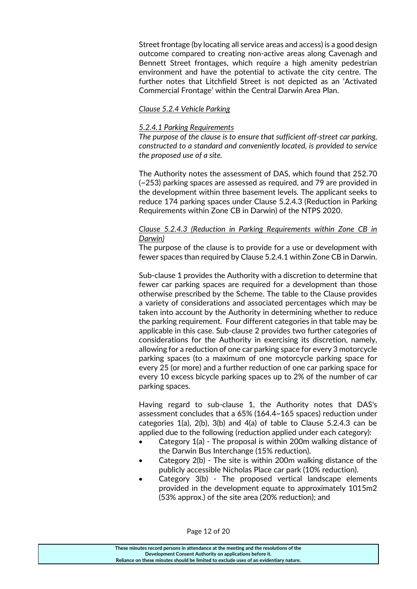Street frontage (by locating all service areas and access) is a good design outcome compared to creating non-active areas along Cavenagh and Bennett Street frontages, which require a high amenity pedestrian environment and have the potential to activate the city centre. The further notes that Litchfield Street is not depicted as an 'Activated Commercial Frontage' within the Central Darwin Area Plan.

#### *Clause 5.2.4 Vehicle Parking*

#### *5.2.4.1 Parking Requirements*

*The purpose of the clause is to ensure that sufficient off-street car parking, constructed to a standard and conveniently located, is provided to service the proposed use of a site.* 

The Authority notes the assessment of DAS, which found that 252.70 (~253) parking spaces are assessed as required, and 79 are provided in the development within three basement levels. The applicant seeks to reduce 174 parking spaces under Clause 5.2.4.3 (Reduction in Parking Requirements within Zone CB in Darwin) of the NTPS 2020.

#### *Clause 5.2.4.3 (Reduction in Parking Requirements within Zone CB in Darwin)*

The purpose of the clause is to provide for a use or development with fewer spaces than required by Clause 5.2.4.1 within Zone CB in Darwin.

Sub-clause 1 provides the Authority with a discretion to determine that fewer car parking spaces are required for a development than those otherwise prescribed by the Scheme. The table to the Clause provides a variety of considerations and associated percentages which may be taken into account by the Authority in determining whether to reduce the parking requirement. Four different categories in that table may be applicable in this case. Sub-clause 2 provides two further categories of considerations for the Authority in exercising its discretion, namely, allowing for a reduction of one car parking space for every 3 motorcycle parking spaces (to a maximum of one motorcycle parking space for every 25 (or more) and a further reduction of one car parking space for every 10 excess bicycle parking spaces up to 2% of the number of car parking spaces.

Having regard to sub-clause 1, the Authority notes that DAS's assessment concludes that a 65% (164.4~165 spaces) reduction under categories 1(a), 2(b), 3(b) and 4(a) of table to Clause 5.2.4.3 can be applied due to the following (reduction applied under each category):

- Category 1(a) The proposal is within 200m walking distance of the Darwin Bus Interchange (15% reduction).
- Category 2(b) The site is within 200m walking distance of the publicly accessible Nicholas Place car park (10% reduction).
- Category 3(b) The proposed vertical landscape elements provided in the development equate to approximately 1015m2 (53% approx.) of the site area (20% reduction); and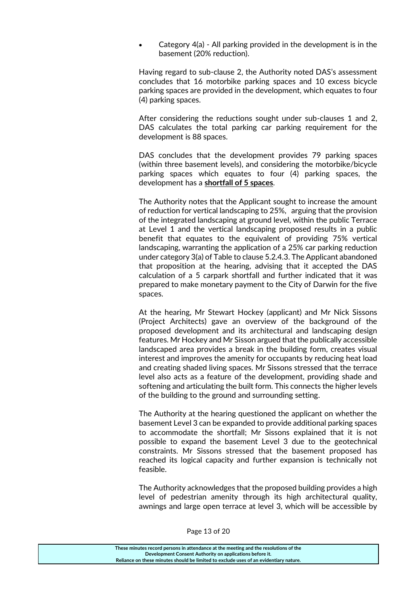Category 4(a) - All parking provided in the development is in the basement (20% reduction).

Having regard to sub-clause 2, the Authority noted DAS's assessment concludes that 16 motorbike parking spaces and 10 excess bicycle parking spaces are provided in the development, which equates to four (4) parking spaces.

After considering the reductions sought under sub-clauses 1 and 2, DAS calculates the total parking car parking requirement for the development is 88 spaces.

DAS concludes that the development provides 79 parking spaces (within three basement levels), and considering the motorbike/bicycle parking spaces which equates to four (4) parking spaces, the development has a **shortfall of 5 spaces**.

The Authority notes that the Applicant sought to increase the amount of reduction for vertical landscaping to 25%, arguing that the provision of the integrated landscaping at ground level, within the public Terrace at Level 1 and the vertical landscaping proposed results in a public benefit that equates to the equivalent of providing 75% vertical landscaping, warranting the application of a 25% car parking reduction under category 3(a) of Table to clause 5.2.4.3. The Applicant abandoned that proposition at the hearing, advising that it accepted the DAS calculation of a 5 carpark shortfall and further indicated that it was prepared to make monetary payment to the City of Darwin for the five spaces.

At the hearing, Mr Stewart Hockey (applicant) and Mr Nick Sissons (Project Architects) gave an overview of the background of the proposed development and its architectural and landscaping design features. Mr Hockey and Mr Sisson argued that the publically accessible landscaped area provides a break in the building form, creates visual interest and improves the amenity for occupants by reducing heat load and creating shaded living spaces. Mr Sissons stressed that the terrace level also acts as a feature of the development, providing shade and softening and articulating the built form. This connects the higher levels of the building to the ground and surrounding setting.

The Authority at the hearing questioned the applicant on whether the basement Level 3 can be expanded to provide additional parking spaces to accommodate the shortfall; Mr Sissons explained that it is not possible to expand the basement Level 3 due to the geotechnical constraints. Mr Sissons stressed that the basement proposed has reached its logical capacity and further expansion is technically not feasible.

The Authority acknowledges that the proposed building provides a high level of pedestrian amenity through its high architectural quality, awnings and large open terrace at level 3, which will be accessible by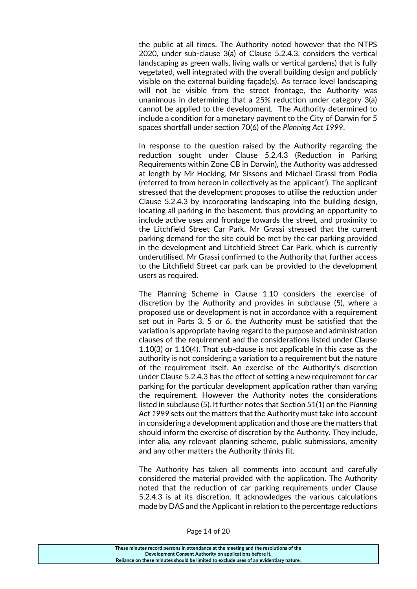the public at all times. The Authority noted however that the NTPS 2020, under sub-clause 3(a) of Clause 5.2.4.3, considers the vertical landscaping as green walls, living walls or vertical gardens) that is fully vegetated, well integrated with the overall building design and publicly visible on the external building façade(s). As terrace level landscaping will not be visible from the street frontage, the Authority was unanimous in determining that a 25% reduction under category 3(a) cannot be applied to the development. The Authority determined to include a condition for a monetary payment to the City of Darwin for 5 spaces shortfall under section 70(6) of the *Planning Act 1999*.

In response to the question raised by the Authority regarding the reduction sought under Clause 5.2.4.3 (Reduction in Parking Requirements within Zone CB in Darwin), the Authority was addressed at length by Mr Hocking, Mr Sissons and Michael Grassi from Podia (referred to from hereon in collectively as the 'applicant'). The applicant stressed that the development proposes to utilise the reduction under Clause 5.2.4.3 by incorporating landscaping into the building design, locating all parking in the basement, thus providing an opportunity to include active uses and frontage towards the street, and proximity to the Litchfield Street Car Park. Mr Grassi stressed that the current parking demand for the site could be met by the car parking provided in the development and Litchfield Street Car Park, which is currently underutilised. Mr Grassi confirmed to the Authority that further access to the Litchfield Street car park can be provided to the development users as required.

The Planning Scheme in Clause 1.10 considers the exercise of discretion by the Authority and provides in subclause (5), where a proposed use or development is not in accordance with a requirement set out in Parts 3, 5 or 6, the Authority must be satisfied that the variation is appropriate having regard to the purpose and administration clauses of the requirement and the considerations listed under Clause 1.10(3) or 1.10(4). That sub-clause is not applicable in this case as the authority is not considering a variation to a requirement but the nature of the requirement itself. An exercise of the Authority's discretion under Clause 5.2.4.3 has the effect of setting a new requirement for car parking for the particular development application rather than varying the requirement. However the Authority notes the considerations listed in subclause (5). It further notes that Section 51(1) on the P*lanning Act 1999* sets out the matters that the Authority must take into account in considering a development application and those are the matters that should inform the exercise of discretion by the Authority. They include, inter alia, any relevant planning scheme, public submissions, amenity and any other matters the Authority thinks fit.

The Authority has taken all comments into account and carefully considered the material provided with the application. The Authority noted that the reduction of car parking requirements under Clause 5.2.4.3 is at its discretion. It acknowledges the various calculations made by DAS and the Applicant in relation to the percentage reductions

| These minutes record persons in attendance at the meeting and the resolutions of the  |
|---------------------------------------------------------------------------------------|
| Development Consent Authority on applications before it.                              |
| Reliance on these minutes should be limited to exclude uses of an evidentiary nature. |
|                                                                                       |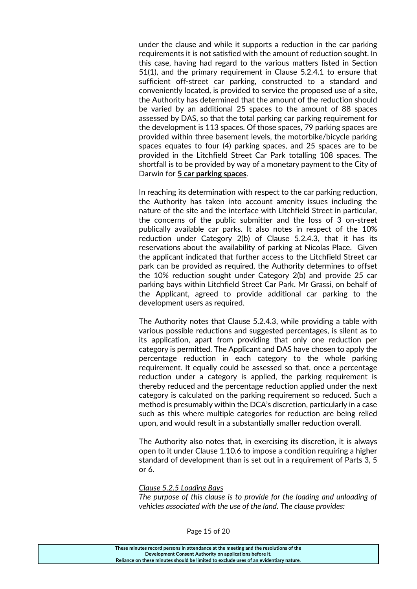under the clause and while it supports a reduction in the car parking requirements it is not satisfied with the amount of reduction sought. In this case, having had regard to the various matters listed in Section 51(1), and the primary requirement in Clause 5.2.4.1 to ensure that sufficient off-street car parking, constructed to a standard and conveniently located, is provided to service the proposed use of a site, the Authority has determined that the amount of the reduction should be varied by an additional 25 spaces to the amount of 88 spaces assessed by DAS, so that the total parking car parking requirement for the development is 113 spaces. Of those spaces, 79 parking spaces are provided within three basement levels, the motorbike/bicycle parking spaces equates to four (4) parking spaces, and 25 spaces are to be provided in the Litchfield Street Car Park totalling 108 spaces. The shortfall is to be provided by way of a monetary payment to the City of Darwin for **5 car parking spaces**.

In reaching its determination with respect to the car parking reduction, the Authority has taken into account amenity issues including the nature of the site and the interface with Litchfield Street in particular, the concerns of the public submitter and the loss of 3 on-street publically available car parks. It also notes in respect of the 10% reduction under Category 2(b) of Clause 5.2.4.3, that it has its reservations about the availability of parking at Nicolas Place. Given the applicant indicated that further access to the Litchfield Street car park can be provided as required, the Authority determines to offset the 10% reduction sought under Category 2(b) and provide 25 car parking bays within Litchfield Street Car Park. Mr Grassi, on behalf of the Applicant, agreed to provide additional car parking to the development users as required.

The Authority notes that Clause 5.2.4.3, while providing a table with various possible reductions and suggested percentages, is silent as to its application, apart from providing that only one reduction per category is permitted. The Applicant and DAS have chosen to apply the percentage reduction in each category to the whole parking requirement. It equally could be assessed so that, once a percentage reduction under a category is applied, the parking requirement is thereby reduced and the percentage reduction applied under the next category is calculated on the parking requirement so reduced. Such a method is presumably within the DCA's discretion, particularly in a case such as this where multiple categories for reduction are being relied upon, and would result in a substantially smaller reduction overall.

The Authority also notes that, in exercising its discretion, it is always open to it under Clause 1.10.6 to impose a condition requiring a higher standard of development than is set out in a requirement of Parts 3, 5 or 6.

#### *Clause 5.2.5 Loading Bays*

*The purpose of this clause is to provide for the loading and unloading of vehicles associated with the use of the land. The clause provides:*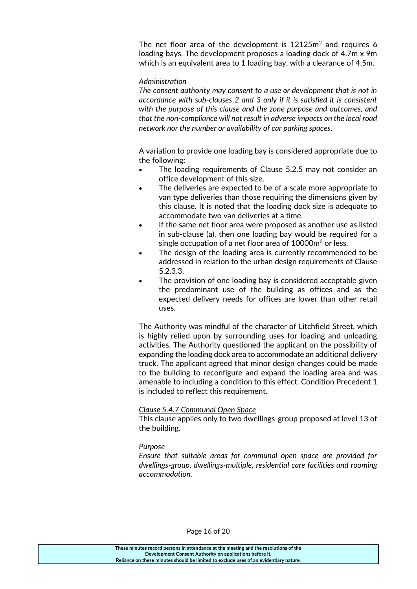The net floor area of the development is  $12125m^2$  and requires 6 loading bays. The development proposes a loading dock of 4.7m x 9m which is an equivalent area to 1 loading bay, with a clearance of 4.5m.

#### *Administration*

*The consent authority may consent to a use or development that is not in accordance with sub-clauses 2 and 3 only if it is satisfied it is consistent with the purpose of this clause and the zone purpose and outcomes, and that the non-compliance will not result in adverse impacts on the local road network nor the number or availability of car parking spaces.*

A variation to provide one loading bay is considered appropriate due to the following:

- The loading requirements of Clause 5.2.5 may not consider an office development of this size.
- The deliveries are expected to be of a scale more appropriate to van type deliveries than those requiring the dimensions given by this clause. It is noted that the loading dock size is adequate to accommodate two van deliveries at a time.
- If the same net floor area were proposed as another use as listed in sub-clause (a), then one loading bay would be required for a single occupation of a net floor area of  $10000m^2$  or less.
- The design of the loading area is currently recommended to be addressed in relation to the urban design requirements of Clause 5.2.3.3.
- The provision of one loading bay is considered acceptable given the predominant use of the building as offices and as the expected delivery needs for offices are lower than other retail uses.

The Authority was mindful of the character of Litchfield Street, which is highly relied upon by surrounding uses for loading and unloading activities. The Authority questioned the applicant on the possibility of expanding the loading dock area to accommodate an additional delivery truck. The applicant agreed that minor design changes could be made to the building to reconfigure and expand the loading area and was amenable to including a condition to this effect. Condition Precedent 1 is included to reflect this requirement.

#### *Clause 5.4.7 Communal Open Space*

This clause applies only to two dwellings-group proposed at level 13 of the building.

#### *Purpose*

*Ensure that suitable areas for communal open space are provided for dwellings-group, dwellings-multiple, residential care facilities and rooming accommodation.*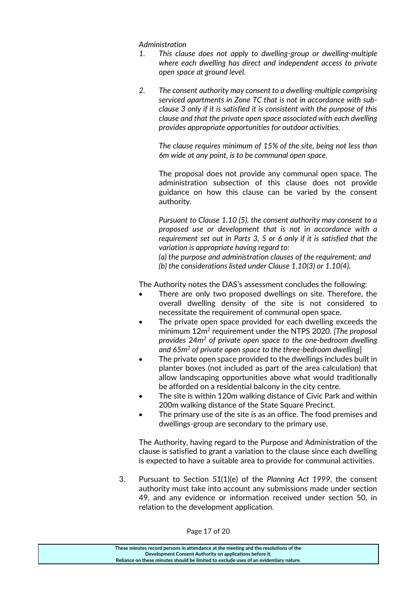*Administration*

- *1. This clause does not apply to dwelling-group or dwelling-multiple where each dwelling has direct and independent access to private open space at ground level.*
- *2. The consent authority may consent to a dwelling-multiple comprising serviced apartments in Zone TC that is not in accordance with subclause 3 only if it is satisfied it is consistent with the purpose of this clause and that the private open space associated with each dwelling provides appropriate opportunities for outdoor activities.*

*The clause requires minimum of 15% of the site, being not less than 6m wide at any point, is to be communal open space.*

The proposal does not provide any communal open space. The administration subsection of this clause does not provide guidance on how this clause can be varied by the consent authority.

*Pursuant to Clause 1.10 (5), the consent authority may consent to a proposed use or development that is not in accordance with a requirement set out in Parts 3, 5 or 6 only if it is satisfied that the variation is appropriate having regard to:* 

*(a) the purpose and administration clauses of the requirement; and* 

*(b) the considerations listed under Clause 1.10(3) or 1.10(4).*

The Authority notes the DAS's assessment concludes the following:

- There are only two proposed dwellings on site. Therefore, the overall dwelling density of the site is not considered to necessitate the requirement of communal open space.
- The private open space provided for each dwelling exceeds the minimum 12m<sup>2</sup> requirement under the NTPS 2020. *[The proposal provides 24m<sup>2</sup> of private open space to the one-bedroom dwelling and 65m<sup>2</sup> of private open space to the three-bedroom dwelling*]
- The private open space provided to the dwellings includes built in planter boxes (not included as part of the area calculation) that allow landscaping opportunities above what would traditionally be afforded on a residential balcony in the city centre.
- The site is within 120m walking distance of Civic Park and within 200m walking distance of the State Square Precinct.
- The primary use of the site is as an office. The food premises and dwellings-group are secondary to the primary use.

The Authority, having regard to the Purpose and Administration of the clause is satisfied to grant a variation to the clause since each dwelling is expected to have a suitable area to provide for communal activities.

3. Pursuant to Section 51(1)(e) of the *Planning Act 1999*, the consent authority must take into account any submissions made under section 49, and any evidence or information received under section 50, in relation to the development application.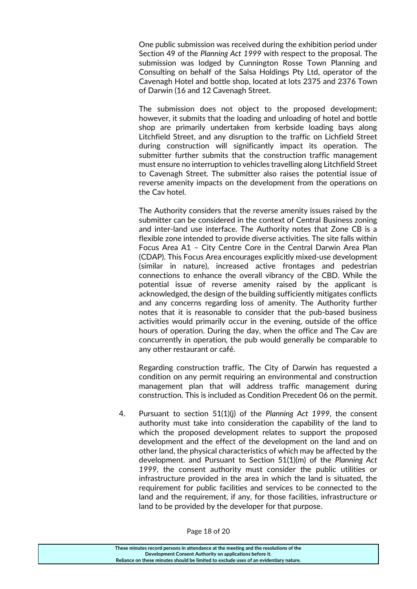One public submission was received during the exhibition period under Section 49 of the *Planning Act 1999* with respect to the proposal. The submission was lodged by Cunnington Rosse Town Planning and Consulting on behalf of the Salsa Holdings Pty Ltd, operator of the Cavenagh Hotel and bottle shop, located at lots 2375 and 2376 Town of Darwin (16 and 12 Cavenagh Street.

The submission does not object to the proposed development; however, it submits that the loading and unloading of hotel and bottle shop are primarily undertaken from kerbside loading bays along Litchfield Street, and any disruption to the traffic on Lichfield Street during construction will significantly impact its operation. The submitter further submits that the construction traffic management must ensure no interruption to vehicles travelling along Litchfield Street to Cavenagh Street. The submitter also raises the potential issue of reverse amenity impacts on the development from the operations on the Cav hotel.

The Authority considers that the reverse amenity issues raised by the submitter can be considered in the context of Central Business zoning and inter-land use interface. The Authority notes that Zone CB is a flexible zone intended to provide diverse activities. The site falls within Focus Area A1 – City Centre Core in the Central Darwin Area Plan (CDAP). This Focus Area encourages explicitly mixed-use development (similar in nature), increased active frontages and pedestrian connections to enhance the overall vibrancy of the CBD. While the potential issue of reverse amenity raised by the applicant is acknowledged, the design of the building sufficiently mitigates conflicts and any concerns regarding loss of amenity. The Authority further notes that it is reasonable to consider that the pub-based business activities would primarily occur in the evening, outside of the office hours of operation. During the day, when the office and The Cav are concurrently in operation, the pub would generally be comparable to any other restaurant or café.

Regarding construction traffic, The City of Darwin has requested a condition on any permit requiring an environmental and construction management plan that will address traffic management during construction. This is included as Condition Precedent 06 on the permit.

4. Pursuant to section 51(1)(j) of the *Planning Act 1999*, the consent authority must take into consideration the capability of the land to which the proposed development relates to support the proposed development and the effect of the development on the land and on other land, the physical characteristics of which may be affected by the development. and Pursuant to Section 51(1)(m) of the *Planning Act 1999*, the consent authority must consider the public utilities or infrastructure provided in the area in which the land is situated, the requirement for public facilities and services to be connected to the land and the requirement, if any, for those facilities, infrastructure or land to be provided by the developer for that purpose.

Page 18 of 20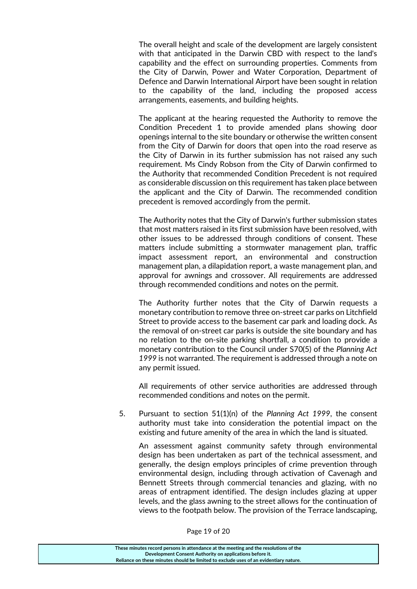The overall height and scale of the development are largely consistent with that anticipated in the Darwin CBD with respect to the land's capability and the effect on surrounding properties. Comments from the City of Darwin, Power and Water Corporation, Department of Defence and Darwin International Airport have been sought in relation to the capability of the land, including the proposed access arrangements, easements, and building heights.

The applicant at the hearing requested the Authority to remove the Condition Precedent 1 to provide amended plans showing door openings internal to the site boundary or otherwise the written consent from the City of Darwin for doors that open into the road reserve as the City of Darwin in its further submission has not raised any such requirement. Ms Cindy Robson from the City of Darwin confirmed to the Authority that recommended Condition Precedent is not required as considerable discussion on this requirement has taken place between the applicant and the City of Darwin. The recommended condition precedent is removed accordingly from the permit.

The Authority notes that the City of Darwin's further submission states that most matters raised in its first submission have been resolved, with other issues to be addressed through conditions of consent. These matters include submitting a stormwater management plan, traffic impact assessment report, an environmental and construction management plan, a dilapidation report, a waste management plan, and approval for awnings and crossover. All requirements are addressed through recommended conditions and notes on the permit.

The Authority further notes that the City of Darwin requests a monetary contribution to remove three on-street car parks on Litchfield Street to provide access to the basement car park and loading dock. As the removal of on-street car parks is outside the site boundary and has no relation to the on-site parking shortfall, a condition to provide a monetary contribution to the Council under S70(5) of the *Planning Act 1999* is not warranted. The requirement is addressed through a note on any permit issued.

All requirements of other service authorities are addressed through recommended conditions and notes on the permit.

5. Pursuant to section 51(1)(n) of the *Planning Act 1999*, the consent authority must take into consideration the potential impact on the existing and future amenity of the area in which the land is situated.

An assessment against community safety through environmental design has been undertaken as part of the technical assessment, and generally, the design employs principles of crime prevention through environmental design, including through activation of Cavenagh and Bennett Streets through commercial tenancies and glazing, with no areas of entrapment identified. The design includes glazing at upper levels, and the glass awning to the street allows for the continuation of views to the footpath below. The provision of the Terrace landscaping,